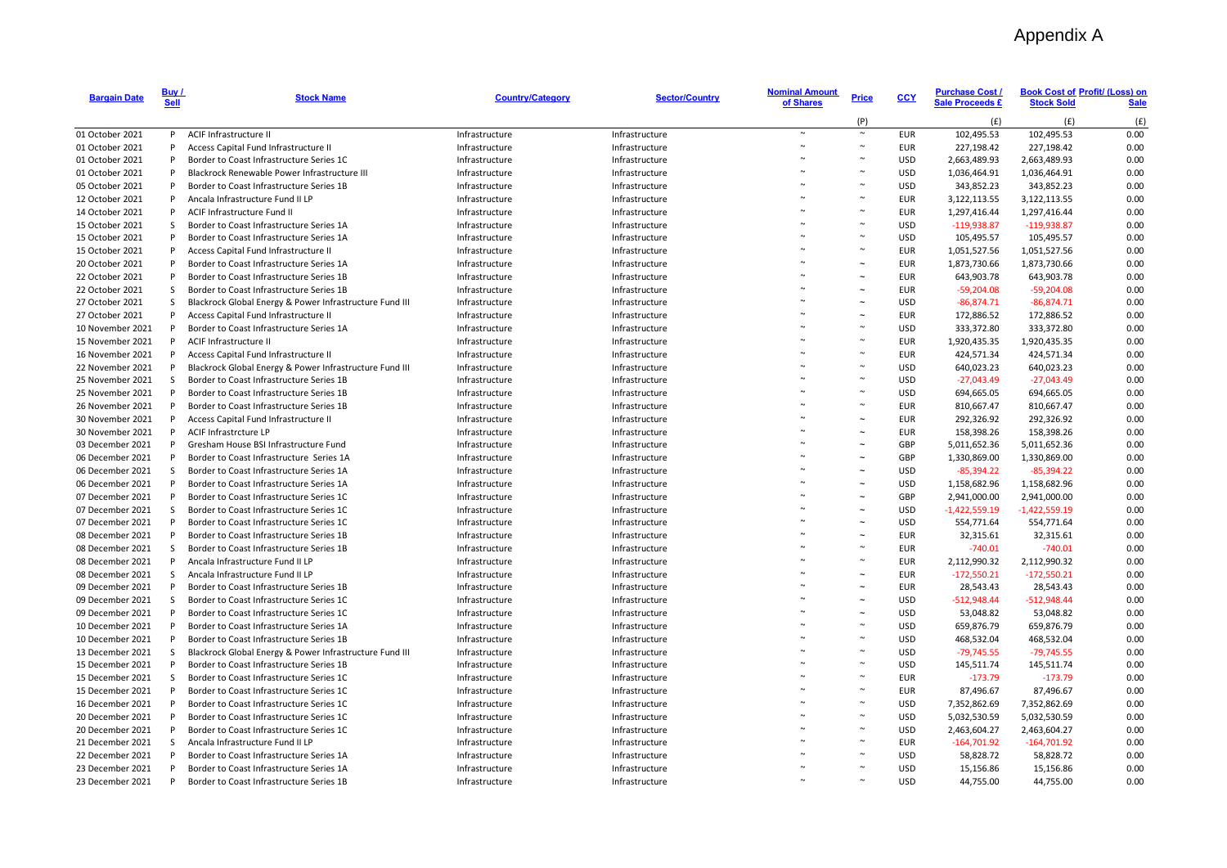## Appendix A

| <b>Bargain Date</b>                  | Buy /<br><b>Sell</b> | <b>Stock Name</b>                                                                    | <b>Country/Category</b>          | <b>Sector/Country</b>            | <b>Nominal Amount</b><br>of Shares | <b>Price</b> | <b>CCY</b>               | <b>Purchase Cost /</b><br><b>Sale Proceeds £</b> | <b>Book Cost of Profit/ (Loss) on</b><br><b>Stock Sold</b> | Sale         |
|--------------------------------------|----------------------|--------------------------------------------------------------------------------------|----------------------------------|----------------------------------|------------------------------------|--------------|--------------------------|--------------------------------------------------|------------------------------------------------------------|--------------|
|                                      |                      |                                                                                      |                                  |                                  |                                    | (P)          |                          | (f)                                              | (f)                                                        | (f)          |
| 01 October 2021                      | P                    | ACIF Infrastructure II                                                               | Infrastructure                   | Infrastructure                   | $\sim$                             | $\sim$       | <b>EUR</b>               | 102,495.53                                       | 102,495.53                                                 | 0.00         |
| 01 October 2021                      | P                    | Access Capital Fund Infrastructure II                                                | Infrastructure                   | Infrastructure                   |                                    |              | <b>EUR</b>               | 227,198.42                                       | 227,198.42                                                 | 0.00         |
| 01 October 2021                      | P                    | Border to Coast Infrastructure Series 1C                                             | Infrastructure                   | Infrastructure                   |                                    |              | <b>USD</b>               | 2,663,489.93                                     | 2,663,489.93                                               | 0.00         |
| 01 October 2021                      | P                    | Blackrock Renewable Power Infrastructure III                                         | Infrastructure                   | Infrastructure                   |                                    |              | <b>USD</b>               | 1,036,464.91                                     | 1,036,464.91                                               | 0.00         |
| 05 October 2021                      | P                    | Border to Coast Infrastructure Series 1B                                             | Infrastructure                   | Infrastructure                   |                                    |              | <b>USD</b>               | 343,852.23                                       | 343,852.23                                                 | 0.00         |
| 12 October 2021                      | P                    | Ancala Infrastructure Fund II LP                                                     | Infrastructure                   | Infrastructure                   |                                    |              | <b>EUR</b>               | 3,122,113.55                                     | 3,122,113.55                                               | 0.00         |
| 14 October 2021                      | P                    | ACIF Infrastructure Fund II                                                          | Infrastructure                   | Infrastructure                   |                                    |              | <b>EUR</b>               | 1,297,416.44                                     | 1,297,416.44                                               | 0.00         |
| 15 October 2021                      | S                    | Border to Coast Infrastructure Series 1A                                             | Infrastructure                   | Infrastructure                   |                                    |              | <b>USD</b>               | $-119,938.87$                                    | $-119,938.87$                                              | 0.00         |
| 15 October 2021                      | P                    | Border to Coast Infrastructure Series 1A                                             | Infrastructure                   | Infrastructure                   |                                    |              | <b>USD</b>               | 105,495.57                                       | 105,495.57                                                 | 0.00         |
| 15 October 2021                      | P                    | Access Capital Fund Infrastructure II                                                | Infrastructure                   | Infrastructure                   |                                    |              | <b>EUR</b>               | 1,051,527.56                                     | 1,051,527.56                                               | 0.00         |
| 20 October 2021                      | P                    | Border to Coast Infrastructure Series 1A                                             | Infrastructure                   | Infrastructure                   |                                    |              | <b>EUR</b>               | 1,873,730.66                                     | 1,873,730.66                                               | 0.00         |
| 22 October 2021                      | P                    | Border to Coast Infrastructure Series 1B                                             | Infrastructure                   | Infrastructure                   |                                    |              | <b>EUR</b>               | 643,903.78                                       | 643,903.78                                                 | 0.00         |
| 22 October 2021                      | S                    | Border to Coast Infrastructure Series 1B                                             | Infrastructure                   | Infrastructure                   |                                    |              | <b>EUR</b>               | $-59,204.08$                                     | $-59,204.08$                                               | 0.00         |
| 27 October 2021                      | S                    | Blackrock Global Energy & Power Infrastructure Fund III                              | Infrastructure                   | Infrastructure                   |                                    |              | <b>USD</b>               | $-86,874.71$                                     | $-86,874.71$                                               | 0.00         |
| 27 October 2021                      | P                    | Access Capital Fund Infrastructure II                                                | Infrastructure                   | Infrastructure                   |                                    |              | <b>EUR</b>               | 172,886.52                                       | 172,886.52                                                 | 0.00         |
| 10 November 2021                     | P                    | Border to Coast Infrastructure Series 1A                                             | Infrastructure                   | Infrastructure                   |                                    |              | <b>USD</b>               | 333,372.80                                       | 333,372.80                                                 | 0.00         |
| 15 November 2021                     | P                    | ACIF Infrastructure II                                                               | Infrastructure                   | Infrastructure                   |                                    |              | <b>EUR</b>               | 1,920,435.35                                     | 1,920,435.35                                               | 0.00         |
| 16 November 2021                     | P                    | Access Capital Fund Infrastructure II                                                | Infrastructure                   | Infrastructure                   |                                    |              | <b>EUR</b>               | 424,571.34                                       | 424,571.34                                                 | 0.00         |
| 22 November 2021                     | P                    | Blackrock Global Energy & Power Infrastructure Fund III                              | Infrastructure                   | Infrastructure                   |                                    |              | <b>USD</b>               | 640,023.23                                       | 640,023.23                                                 | 0.00         |
| 25 November 2021                     | S                    | Border to Coast Infrastructure Series 1B                                             | Infrastructure                   | Infrastructure                   |                                    |              | <b>USD</b>               | $-27,043.49$                                     | $-27,043.49$                                               | 0.00         |
| 25 November 2021                     | P                    | Border to Coast Infrastructure Series 1B                                             | Infrastructure                   | Infrastructure                   |                                    |              | <b>USD</b>               | 694,665.05                                       | 694,665.05                                                 | 0.00         |
| 26 November 2021                     | P                    | Border to Coast Infrastructure Series 1B                                             | Infrastructure                   | Infrastructure                   |                                    |              | <b>EUR</b>               | 810,667.47                                       | 810,667.47                                                 | 0.00         |
| 30 November 2021                     | P                    | Access Capital Fund Infrastructure II                                                | Infrastructure                   | Infrastructure                   |                                    |              | <b>EUR</b>               | 292,326.92                                       | 292,326.92                                                 | 0.00         |
| 30 November 2021                     | P                    | ACIF Infrastrcture LP                                                                | Infrastructure                   | Infrastructure                   |                                    |              | <b>EUR</b>               | 158,398.26                                       | 158,398.26                                                 | 0.00         |
| 03 December 2021                     | P                    | Gresham House BSI Infrastructure Fund                                                | Infrastructure                   | Infrastructure                   |                                    |              | GBP                      | 5,011,652.36                                     | 5,011,652.36                                               | 0.00         |
| 06 December 2021                     | P                    | Border to Coast Infrastructure Series 1A                                             | Infrastructure                   | Infrastructure                   |                                    |              | GBP                      | 1,330,869.00                                     | 1,330,869.00                                               | 0.00         |
| 06 December 2021                     | S                    | Border to Coast Infrastructure Series 1A                                             | Infrastructure                   | Infrastructure                   |                                    |              | <b>USD</b>               | $-85,394.22$                                     | $-85,394.22$                                               | 0.00         |
| 06 December 2021                     | P                    | Border to Coast Infrastructure Series 1A                                             | Infrastructure                   | Infrastructure                   |                                    |              | <b>USD</b>               | 1,158,682.96                                     | 1,158,682.96                                               | 0.00         |
| 07 December 2021                     | P                    | Border to Coast Infrastructure Series 1C                                             | Infrastructure                   | Infrastructure                   |                                    |              | GBP                      | 2,941,000.00                                     | 2,941,000.00                                               | 0.00         |
| 07 December 2021                     | S                    | Border to Coast Infrastructure Series 1C                                             | Infrastructure                   | Infrastructure                   |                                    |              | <b>USD</b>               | $-1,422,559.19$                                  | $-1,422,559.19$                                            | 0.00         |
| 07 December 2021                     | P                    | Border to Coast Infrastructure Series 1C                                             | Infrastructure                   | Infrastructure                   |                                    |              | <b>USD</b>               | 554,771.64                                       | 554,771.64                                                 | 0.00         |
| 08 December 2021                     | P                    | Border to Coast Infrastructure Series 1B                                             | Infrastructure                   | Infrastructure                   |                                    |              | <b>EUR</b>               | 32,315.61                                        | 32,315.61                                                  | 0.00         |
| 08 December 2021                     | S                    | Border to Coast Infrastructure Series 1B                                             | Infrastructure                   | Infrastructure                   |                                    |              | <b>EUR</b>               | $-740.01$                                        | $-740.01$                                                  | 0.00         |
| 08 December 2021                     | P                    | Ancala Infrastructure Fund II LP                                                     | Infrastructure                   | Infrastructure                   |                                    |              | <b>EUR</b>               | 2,112,990.32                                     | 2,112,990.32                                               | 0.00         |
| 08 December 2021                     | S                    | Ancala Infrastructure Fund II LP                                                     | Infrastructure                   | Infrastructure                   |                                    |              | <b>EUR</b>               | $-172,550.21$                                    | $-172,550.21$                                              | 0.00         |
| 09 December 2021                     | P                    | Border to Coast Infrastructure Series 1B                                             | Infrastructure                   | Infrastructure                   |                                    |              | <b>EUR</b>               | 28,543.43                                        | 28,543.43                                                  | 0.00         |
| 09 December 2021                     | S                    | Border to Coast Infrastructure Series 1C                                             | Infrastructure                   | Infrastructure                   |                                    |              | <b>USD</b>               | $-512,948.44$                                    | $-512,948.44$                                              | 0.00         |
| 09 December 2021                     | P                    | Border to Coast Infrastructure Series 1C                                             | Infrastructure                   | Infrastructure                   |                                    |              | <b>USD</b>               | 53,048.82                                        | 53,048.82                                                  | 0.00         |
| 10 December 2021                     | P                    | Border to Coast Infrastructure Series 1A                                             | Infrastructure                   | Infrastructure                   |                                    |              | <b>USD</b>               | 659,876.79                                       | 659,876.79                                                 | 0.00         |
| 10 December 2021                     | P                    | Border to Coast Infrastructure Series 1B                                             | Infrastructure                   | Infrastructure                   |                                    |              | <b>USD</b>               | 468,532.04                                       | 468,532.04                                                 | 0.00         |
| 13 December 2021                     | S                    | Blackrock Global Energy & Power Infrastructure Fund III                              | Infrastructure                   | Infrastructure                   |                                    |              | <b>USD</b>               | $-79,745.55$                                     | $-79,745.55$                                               | 0.00         |
| 15 December 2021                     | P                    | Border to Coast Infrastructure Series 1B                                             | Infrastructure                   | Infrastructure                   |                                    |              | <b>USD</b>               |                                                  |                                                            | 0.00         |
| 15 December 2021                     | S                    | Border to Coast Infrastructure Series 1C                                             | Infrastructure                   |                                  |                                    |              | <b>EUR</b>               | 145,511.74<br>$-173.79$                          | 145,511.74<br>$-173.79$                                    | 0.00         |
| 15 December 2021                     | P                    | Border to Coast Infrastructure Series 1C                                             | Infrastructure                   | Infrastructure<br>Infrastructure |                                    |              | <b>EUR</b>               | 87,496.67                                        | 87,496.67                                                  | 0.00         |
| 16 December 2021                     | P                    | Border to Coast Infrastructure Series 1C                                             | Infrastructure                   | Infrastructure                   |                                    |              | <b>USD</b>               | 7,352,862.69                                     | 7,352,862.69                                               | 0.00         |
|                                      | P                    |                                                                                      |                                  |                                  |                                    |              |                          |                                                  |                                                            |              |
| 20 December 2021<br>20 December 2021 | P                    | Border to Coast Infrastructure Series 1C<br>Border to Coast Infrastructure Series 1C | Infrastructure<br>Infrastructure | Infrastructure                   |                                    |              | <b>USD</b><br><b>USD</b> | 5,032,530.59                                     | 5,032,530.59                                               | 0.00<br>0.00 |
|                                      | S                    | Ancala Infrastructure Fund II LP                                                     |                                  | Infrastructure                   |                                    |              | <b>EUR</b>               | 2,463,604.27                                     | 2,463,604.27                                               | 0.00         |
| 21 December 2021<br>22 December 2021 | P                    | Border to Coast Infrastructure Series 1A                                             | Infrastructure                   | Infrastructure                   |                                    |              | <b>USD</b>               | $-164,701.92$                                    | $-164,701.92$                                              | 0.00         |
|                                      | P                    |                                                                                      | Infrastructure                   | Infrastructure                   |                                    |              | <b>USD</b>               | 58,828.72                                        | 58,828.72                                                  | 0.00         |
| 23 December 2021<br>23 December 2021 | P                    | Border to Coast Infrastructure Series 1A<br>Border to Coast Infrastructure Series 1B | Infrastructure<br>Infrastructure | Infrastructure<br>Infrastructure |                                    |              | <b>USD</b>               | 15,156.86<br>44,755.00                           | 15,156.86<br>44,755.00                                     | 0.00         |
|                                      |                      |                                                                                      |                                  |                                  |                                    |              |                          |                                                  |                                                            |              |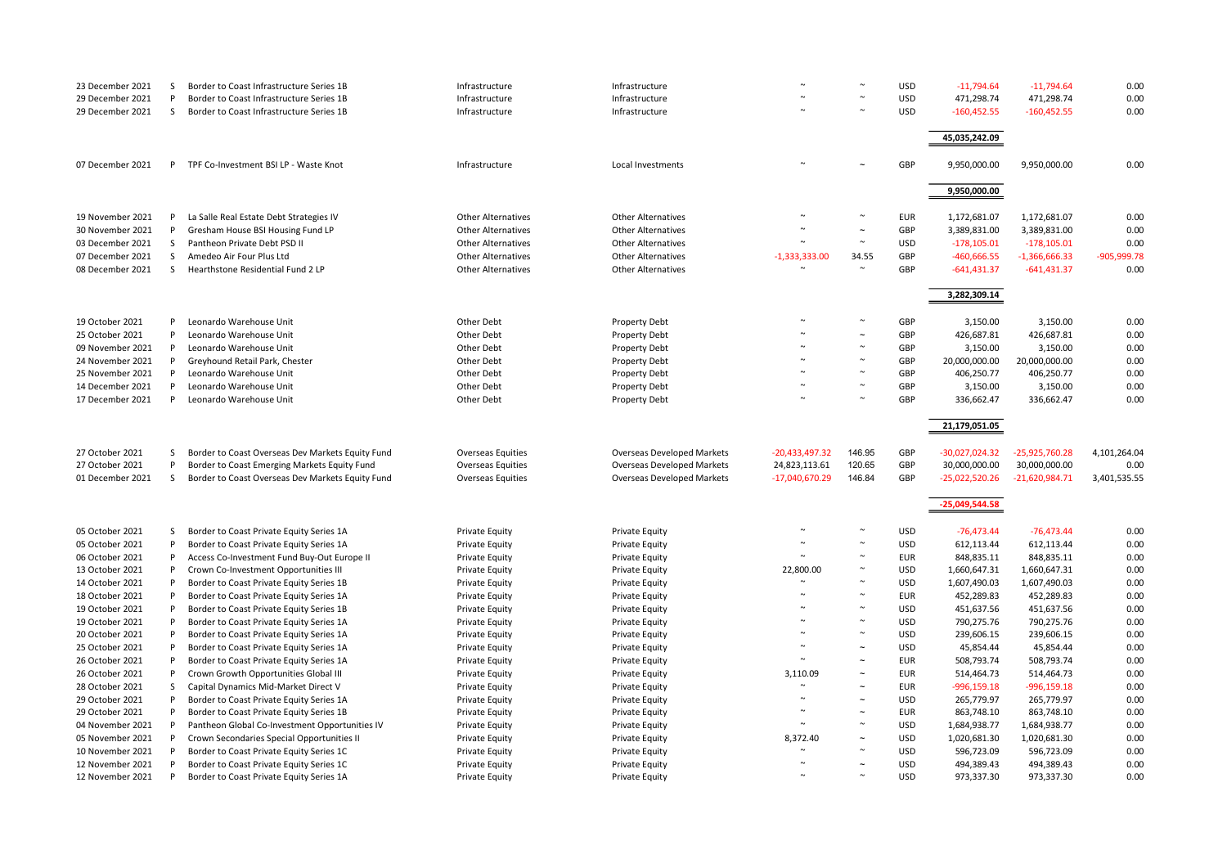| 23 December 2021 | <sub>S</sub> | Border to Coast Infrastructure Series 1B         | Infrastructure            | Infrastructure                    |                  |                       | <b>USD</b> | $-11,794.64$     | $-11,794.64$     | 0.00          |
|------------------|--------------|--------------------------------------------------|---------------------------|-----------------------------------|------------------|-----------------------|------------|------------------|------------------|---------------|
| 29 December 2021 | P            | Border to Coast Infrastructure Series 1B         | Infrastructure            | Infrastructure                    |                  | $\sim$                | <b>USD</b> | 471,298.74       | 471,298.74       | 0.00          |
| 29 December 2021 | S            | Border to Coast Infrastructure Series 1B         | Infrastructure            | Infrastructure                    |                  |                       | <b>USD</b> | $-160,452.55$    | $-160,452.55$    | 0.00          |
|                  |              |                                                  |                           |                                   |                  |                       |            |                  |                  |               |
|                  |              |                                                  |                           |                                   |                  |                       |            | 45,035,242.09    |                  |               |
|                  |              |                                                  |                           |                                   |                  |                       |            |                  |                  |               |
| 07 December 2021 |              | P TPF Co-Investment BSI LP - Waste Knot          | Infrastructure            | Local Investments                 |                  |                       | GBP        | 9,950,000.00     | 9,950,000.00     | 0.00          |
|                  |              |                                                  |                           |                                   |                  |                       |            |                  |                  |               |
|                  |              |                                                  |                           |                                   |                  |                       |            | 9,950,000.00     |                  |               |
|                  |              |                                                  |                           |                                   |                  |                       |            |                  |                  |               |
| 19 November 2021 | P            | La Salle Real Estate Debt Strategies IV          | <b>Other Alternatives</b> | <b>Other Alternatives</b>         |                  | $\sim$                | <b>EUR</b> | 1,172,681.07     | 1,172,681.07     | 0.00          |
| 30 November 2021 | P            | Gresham House BSI Housing Fund LP                | <b>Other Alternatives</b> | <b>Other Alternatives</b>         |                  | $\tilde{\phantom{a}}$ | GBP        | 3,389,831.00     | 3,389,831.00     | 0.00          |
| 03 December 2021 | S            | Pantheon Private Debt PSD II                     | <b>Other Alternatives</b> | <b>Other Alternatives</b>         |                  | $\sim$                | <b>USD</b> | $-178,105.01$    | $-178,105.01$    | 0.00          |
| 07 December 2021 | S            | Amedeo Air Four Plus Ltd                         | <b>Other Alternatives</b> | <b>Other Alternatives</b>         | $-1,333,333.00$  | 34.55                 | GBP        | $-460,666.55$    | $-1,366,666.33$  | $-905,999.78$ |
| 08 December 2021 | <sub>S</sub> | Hearthstone Residential Fund 2 LP                | <b>Other Alternatives</b> | <b>Other Alternatives</b>         |                  |                       | GBP        | $-641,431.37$    | $-641,431.37$    | 0.00          |
|                  |              |                                                  |                           |                                   |                  |                       |            |                  |                  |               |
|                  |              |                                                  |                           |                                   |                  |                       |            | 3,282,309.14     |                  |               |
|                  |              |                                                  |                           |                                   |                  |                       |            |                  |                  |               |
| 19 October 2021  | P            | Leonardo Warehouse Unit                          | Other Debt                | Property Debt                     |                  |                       | GBP        | 3,150.00         | 3,150.00         | 0.00          |
| 25 October 2021  | P            | Leonardo Warehouse Unit                          | Other Debt                | Property Debt                     |                  | $\sim$                | GBP        | 426,687.81       | 426,687.81       | 0.00          |
| 09 November 2021 | P            | Leonardo Warehouse Unit                          | Other Debt                | Property Debt                     |                  | $\sim$                | GBP        | 3,150.00         | 3,150.00         | 0.00          |
| 24 November 2021 | P            | Greyhound Retail Park, Chester                   | Other Debt                | Property Debt                     |                  | $\sim$                | GBP        | 20,000,000.00    | 20,000,000.00    | 0.00          |
| 25 November 2021 | P            | Leonardo Warehouse Unit                          | Other Debt                | Property Debt                     |                  | $\sim$                | GBP        | 406,250.77       | 406,250.77       | 0.00          |
| 14 December 2021 | P            | Leonardo Warehouse Unit                          | Other Debt                | Property Debt                     |                  | $\sim$                | GBP        | 3,150.00         | 3,150.00         | 0.00          |
| 17 December 2021 | P            | Leonardo Warehouse Unit                          | Other Debt                | Property Debt                     |                  | $\sim$                | GBP        | 336,662.47       | 336,662.47       | 0.00          |
|                  |              |                                                  |                           |                                   |                  |                       |            |                  |                  |               |
|                  |              |                                                  |                           |                                   |                  |                       |            | 21,179,051.05    |                  |               |
|                  |              |                                                  |                           |                                   |                  |                       |            |                  |                  |               |
| 27 October 2021  | S            | Border to Coast Overseas Dev Markets Equity Fund | Overseas Equities         | <b>Overseas Developed Markets</b> | $-20,433,497.32$ | 146.95                | GBP        | $-30,027,024.32$ | $-25,925,760.28$ | 4,101,264.04  |
| 27 October 2021  | P            | Border to Coast Emerging Markets Equity Fund     | <b>Overseas Equities</b>  | <b>Overseas Developed Markets</b> | 24,823,113.61    | 120.65                | GBP        | 30,000,000.00    | 30,000,000.00    | 0.00          |
| 01 December 2021 | S            | Border to Coast Overseas Dev Markets Equity Fund | Overseas Equities         | Overseas Developed Markets        | -17,040,670.29   | 146.84                | GBP        | -25,022,520.26   | $-21,620,984.71$ | 3,401,535.55  |
|                  |              |                                                  |                           |                                   |                  |                       |            |                  |                  |               |
|                  |              |                                                  |                           |                                   |                  |                       |            | $-25,049,544.58$ |                  |               |
|                  |              |                                                  |                           |                                   |                  |                       |            |                  |                  |               |
| 05 October 2021  | S            | Border to Coast Private Equity Series 1A         | Private Equity            | Private Equity                    |                  | $\sim$                | <b>USD</b> | $-76,473.44$     | $-76,473.44$     | 0.00          |
| 05 October 2021  | P            | Border to Coast Private Equity Series 1A         | Private Equity            | Private Equity                    |                  | $\sim$                | <b>USD</b> | 612,113.44       | 612,113.44       | 0.00          |
| 06 October 2021  | P            | Access Co-Investment Fund Buy-Out Europe II      | Private Equity            | Private Equity                    |                  | $\sim$                | <b>EUR</b> | 848,835.11       | 848,835.11       | 0.00          |
| 13 October 2021  | P            | Crown Co-Investment Opportunities III            | Private Equity            | Private Equity                    | 22,800.00        | $\sim$                | <b>USD</b> | 1,660,647.31     | 1,660,647.31     | 0.00          |
| 14 October 2021  | P            | Border to Coast Private Equity Series 1B         | Private Equity            | <b>Private Equity</b>             |                  | $\sim$                | <b>USD</b> | 1,607,490.03     | 1,607,490.03     | 0.00          |
| 18 October 2021  | P            | Border to Coast Private Equity Series 1A         | Private Equity            | Private Equity                    |                  | $\sim$                | <b>EUR</b> | 452,289.83       | 452,289.83       | 0.00          |
| 19 October 2021  | P            | Border to Coast Private Equity Series 1B         | Private Equity            | Private Equity                    |                  | $\sim$                | <b>USD</b> | 451,637.56       | 451,637.56       | 0.00          |
| 19 October 2021  | P            | Border to Coast Private Equity Series 1A         | Private Equity            | <b>Private Equity</b>             |                  | $\sim$                | <b>USD</b> | 790,275.76       | 790,275.76       | 0.00          |
| 20 October 2021  | P            | Border to Coast Private Equity Series 1A         | Private Equity            | Private Equity                    |                  | $\sim$                | <b>USD</b> | 239,606.15       | 239,606.15       | 0.00          |
| 25 October 2021  | P            | Border to Coast Private Equity Series 1A         | Private Equity            | <b>Private Equity</b>             |                  | $\sim$                | <b>USD</b> | 45,854.44        | 45,854.44        | 0.00          |
| 26 October 2021  | P            | Border to Coast Private Equity Series 1A         | Private Equity            | Private Equity                    | $\sim$           | $\sim$                | <b>EUR</b> | 508,793.74       | 508,793.74       | 0.00          |
| 26 October 2021  | P            | Crown Growth Opportunities Global III            | Private Equity            | Private Equity                    | 3,110.09         | $\sim$                | <b>EUR</b> | 514,464.73       | 514,464.73       | 0.00          |
| 28 October 2021  | S            | Capital Dynamics Mid-Market Direct V             |                           |                                   |                  | $\tilde{}$            | <b>EUR</b> | $-996,159.18$    | -996,159.18      |               |
| 29 October 2021  | P            |                                                  | Private Equity            | <b>Private Equity</b>             |                  | $\sim$                | <b>USD</b> | 265,779.97       | 265,779.97       | 0.00<br>0.00  |
| 29 October 2021  | P            | Border to Coast Private Equity Series 1A         | Private Equity            | <b>Private Equity</b>             |                  | $\sim$                |            |                  |                  | 0.00          |
|                  |              | Border to Coast Private Equity Series 1B         | Private Equity            | Private Equity                    | $\sim$           | $\sim$                | <b>EUR</b> | 863,748.10       | 863,748.10       |               |
| 04 November 2021 | P            | Pantheon Global Co-Investment Opportunities IV   | Private Equity            | <b>Private Equity</b>             |                  | $\tilde{}$            | <b>USD</b> | 1,684,938.77     | 1,684,938.77     | 0.00          |
| 05 November 2021 | P            | Crown Secondaries Special Opportunities II       | Private Equity            | Private Equity                    | 8,372.40         | $\sim$                | <b>USD</b> | 1,020,681.30     | 1,020,681.30     | 0.00          |
| 10 November 2021 | P            | Border to Coast Private Equity Series 1C         | Private Equity            | <b>Private Equity</b>             |                  |                       | <b>USD</b> | 596,723.09       | 596,723.09       | 0.00          |
| 12 November 2021 | P            | Border to Coast Private Equity Series 1C         | Private Equity            | Private Equity                    | $\sim$           | $\sim$<br>$\sim$      | <b>USD</b> | 494,389.43       | 494,389.43       | 0.00          |
| 12 November 2021 | P            | Border to Coast Private Equity Series 1A         | Private Equity            | Private Equity                    |                  |                       | <b>USD</b> | 973,337.30       | 973,337.30       | 0.00          |